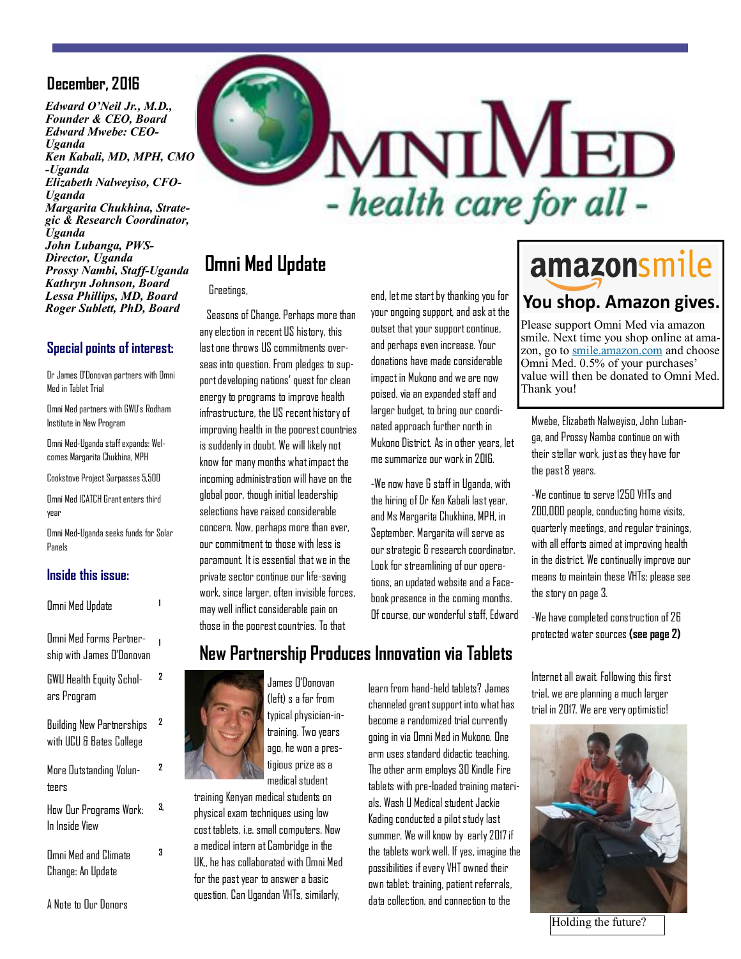#### **December, 2016**

*Edward O'Neil Jr., M.D., Founder & CEO, Board Edward Mwebe: CEO-Uganda Ken Kabali, MD, MPH, CMO -Uganda Elizabeth Nalweyiso, CFO-Uganda Margarita Chukhina, Strategic & Research Coordinator, Uganda John Lubanga, PWS-Director, Uganda Prossy Nambi, Staff-Uganda Kathryn Johnson, Board Lessa Phillips, MD, Board Roger Sublett, PhD, Board*

#### **Special points of interest:**

Dr James O'Donovan partners with Omni Med in Tablet Trial

Omni Med partners with GWU's Rodham Institute in New Program

Omni Med-Uganda staff expands: Welcomes Margarita Chukhina, MPH

Cookstove Project Surpasses 5,500

Omni Med ICATCH Grant enters third year

Omni Med-Uganda seeks funds for Solar Panels

#### **Inside this issue:**

| <b>Omni Med Update</b>                                       |    |
|--------------------------------------------------------------|----|
| Omni Med Forms Partner-<br>ship with James O'Donovan         | 1  |
| GWU Health Equity Schol-<br>ars Program                      | 2  |
| <b>Building New Partnerships</b><br>with UCU & Bates College | 2  |
| More Outstanding Volun-<br>teers                             | 2  |
| How Our Programs Work:<br>In Inside View                     | 3. |
| Omni Med and Climate                                         | 3  |

Change: An Update



# **Omni Med Update**

#### Greetings,

 Seasons of Change. Perhaps more than any election in recent US history, this last one throws US commitments overseas into question. From pledges to support developing nations' quest for clean energy to programs to improve health infrastructure, the US recent history of improving health in the poorest countries is suddenly in doubt. We will likely not know for many months what impact the incoming administration will have on the global poor, though initial leadership selections have raised considerable concern. Now, perhaps more than ever, our commitment to those with less is paramount. It is essential that we in the private sector continue our life-saving work, since larger, often invisible forces, may well inflict considerable pain on those in the poorest countries. To that

end, let me start by thanking you for your ongoing support, and ask at the outset that your support continue, and perhaps even increase. Your donations have made considerable impact in Mukono and we are now poised, via an expanded staff and larger budget, to bring our coordinated approach further north in Mukono District. As in other years, let me summarize our work in 2016.

-We now have 6 staff in Uganda, with the hiring of Dr Ken Kabali last year, and Ms Margarita Chukhina, MPH, in September. Margarita will serve as our strategic & research coordinator. Look for streamlining of our operations, an updated website and a Facebook presence in the coming months. Of course, our wonderful staff, Edward

# amazonsmile

### You shop. Amazon gives.

Please support Omni Med via amazon smile. Next time you shop online at amazon, go to smile.amazon.com and choose Omni Med. 0.5% of your purchases' value will then be donated to Omni Med. Thank you!

Mwebe, Elizabeth Nalweyiso, John Lubanga, and Prossy Namba continue on with their stellar work, just as they have for the past 8 years.

-We continue to serve 1250 VHTs and 200,000 people, conducting home visits, quarterly meetings, and regular trainings, with all efforts aimed at improving health in the district. We continually improve our means to maintain these VHTs; please see the story on page 3.

-We have completed construction of 26 protected water sources **(see page 2)** 

Internet all await. Following this first trial, we are planning a much larger trial in 2017. We are very optimistic!



Holding the future?



(left) s a far from typical physician-intraining. Two years ago, he won a prestigious prize as a medical student

training Kenyan medical students on physical exam techniques using low cost tablets, i.e. small computers. Now a medical intern at Cambridge in the UK,, he has collaborated with Omni Med for the past year to answer a basic question. Can Ugandan VHTs, similarly,

channeled grant support into what has become a randomized trial currently going in via Omni Med in Mukono. One arm uses standard didactic teaching. The other arm employs 30 Kindle Fire tablets with pre-loaded training materials. Wash U Medical student Jackie Kading conducted a pilot study last summer. We will know by early 2017 if the tablets work well. If yes, imagine the possibilities if every VHT owned their own tablet: training, patient referrals, data collection, and connection to the

learn from hand-held tablets? James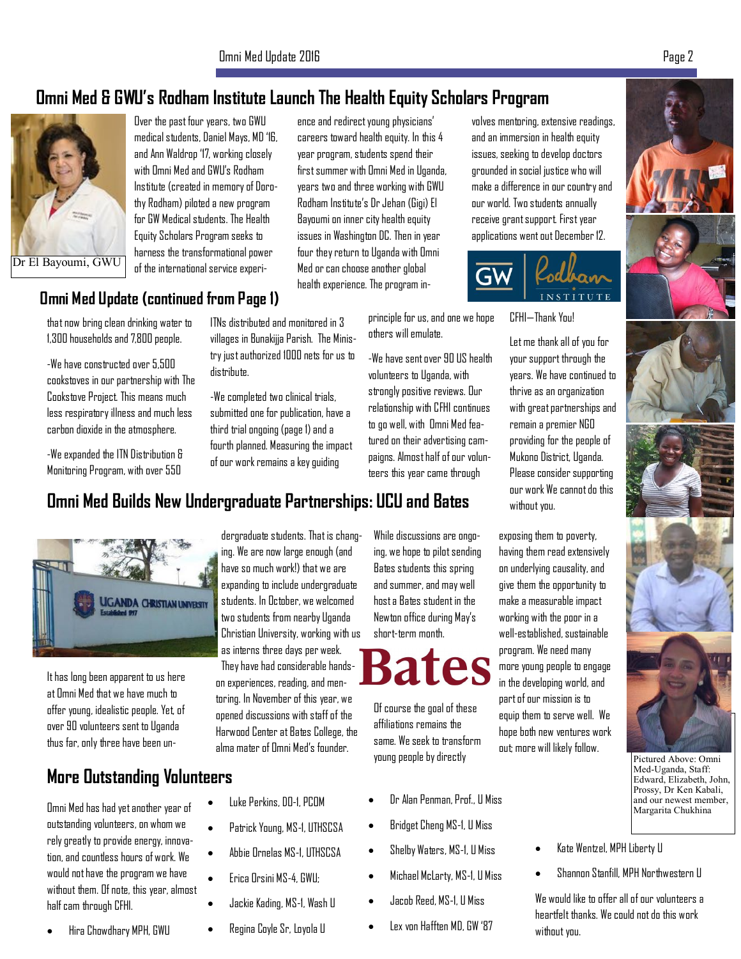# **Omni Med & GWU's Rodham Institute Launch The Health Equity Scholars Program**



Over the past four years, two GWU medical students, Daniel Mays, MD '16, and Ann Waldrop '17, working closely with Omni Med and GWU's Rodham Institute (created in memory of Dorothy Rodham) piloted a new program for GW Medical students. The Health Equity Scholars Program seeks to harness the transformational power of the international service experi-

ence and redirect young physicians' careers toward health equity. In this 4 year program, students spend their first summer with Omni Med in Uganda, years two and three working with GWU Rodham Institute's Dr Jehan (Gigi) El Bayoumi on inner city health equity issues in Washington DC. Then in year four they return to Uganda with Omni Med or can choose another global health experience. The program in-

volves mentoring, extensive readings, and an immersion in health equity issues, seeking to develop doctors grounded in social justice who will make a difference in our country and our world. Two students annually receive grant support. First year applications went out December 12.



CFHI—Thank You!

Let me thank all of you for your support through the years. We have continued to thrive as an organization with great partnerships and remain a premier NGO providing for the people of Mukono District, Uganda. Please consider supporting our work We cannot do this without you.

exposing them to poverty, having them read extensively on underlying causality, and give them the opportunity to make a measurable impact working with the poor in a well-established, sustainable program. We need many more young people to engage in the developing world, and part of our mission is to equip them to serve well. We hope both new ventures work out; more will likely follow.

Pictured Above: Omni Med-Uganda, Staff: Edward, Elizabeth, John, Prossy, Dr Ken Kabali, and our newest member,

Margarita Chukhina

- Kate Wentzel, MPH Liberty U
- x Shannon Stanfill, MPH Northwestern U

We would like to offer all of our volunteers a heartfelt thanks. We could not do this work without you.

#### **Omni Med Update (continued from Page 1)**

that now bring clean drinking water to 1,300 households and 7,800 people.

-We have constructed over 5,500 cookstoves in our partnership with The Cookstove Project. This means much less respiratory illness and much less carbon dioxide in the atmosphere.

-We expanded the ITN Distribution & Monitoring Program, with over 550

ITNs distributed and monitored in 3 villages in Bunakijja Parish. The Ministry just authorized 1000 nets for us to distribute.

-We completed two clinical trials, submitted one for publication, have a third trial ongoing (page 1) and a fourth planned. Measuring the impact of our work remains a key guiding

# **Omni Med Builds New Undergraduate Partnerships: UCU and Bates**



It has long been apparent to us here at Omni Med that we have much to offer young, idealistic people. Yet, of over 90 volunteers sent to Uganda thus far, only three have been un-

## **More Outstanding Volunteers**

Omni Med has had yet another year of outstanding volunteers, on whom we rely greatly to provide energy, innovation, and countless hours of work. We would not have the program we have without them. Of note, this year, almost half cam through CFHI.

x Hira Chowdhary MPH, GWU

dergraduate students. That is changing. We are now large enough (and have so much work!) that we are expanding to include undergraduate students. In October, we welcomed two students from nearby Uganda Christian University, working with us as interns three days per week. They have had considerable handson experiences, reading, and men-

toring. In November of this year, we opened discussions with staff of the Harwood Center at Bates College, the alma mater of Omni Med's founder.

- Luke Perkins, DO-1, PCOM
- Patrick Young, MS-1, UTHSCSA
- x Abbie Ornelas MS-1, UTHSCSA
- x Erica Orsini MS-4, GWU;
- Jackie Kading, MS-1, Wash U
- x Regina Coyle Sr, Loyola U

While discussions are ongoing, we hope to pilot sending Bates students this spring and summer, and may well host a Bates student in the Newton office during May's short-term month.

principle for us, and one we hope

-We have sent over 90 US health volunteers to Uganda, with strongly positive reviews. Our relationship with CFHI continues to go well, with Omni Med featured on their advertising campaigns. Almost half of our volunteers this year came through

others will emulate.

# **Bates**

Of course the goal of these affiliations remains the same. We seek to transform young people by directly

- x Dr Alan Penman, Prof., U Miss
- x Bridget Cheng MS-1, U Miss
- x Shelby Waters, MS-1, U Miss
- x Michael McLarty, MS-1, U Miss
- x Jacob Reed, MS-1, U Miss
- x Lex von Hafften MD, GW '87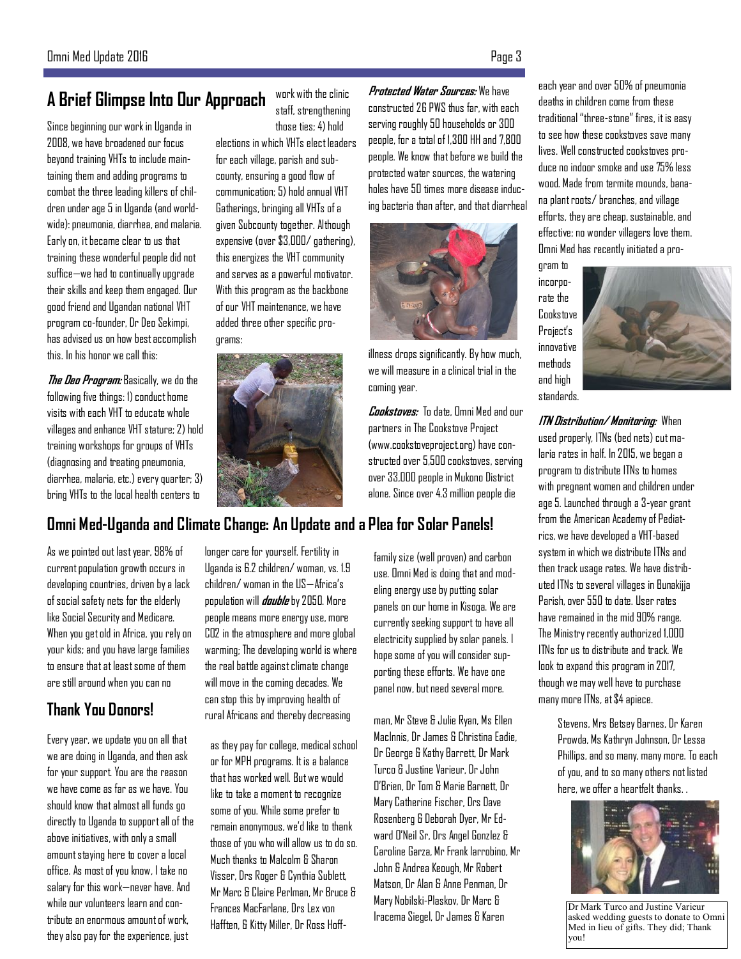# **A Brief Glimpse Into Our Approach**

Since beginning our work in Uganda in 2008, we have broadened our focus beyond training VHTs to include maintaining them and adding programs to combat the three leading killers of children under age 5 in Uganda (and worldwide): pneumonia, diarrhea, and malaria. Early on, it became clear to us that training these wonderful people did not suffice—we had to continually upgrade their skills and keep them engaged. Our good friend and Ugandan national VHT program co-founder, Dr Deo Sekimpi, has advised us on how best accomplish this. In his honor we call this:

**The Deo Program:** Basically, we do the following five things: 1) conduct home visits with each VHT to educate whole villages and enhance VHT stature; 2) hold training workshops for groups of VHTs (diagnosing and treating pneumonia, diarrhea, malaria, etc.) every quarter; 3) bring VHTs to the local health centers to

work with the clinic staff, strengthening those ties; 4) hold

elections in which VHTs elect leaders for each village, parish and subcounty, ensuring a good flow of communication; 5) hold annual VHT Gatherings, bringing all VHTs of a given Subcounty together. Although expensive (over \$3,000/ gathering), this energizes the VHT community and serves as a powerful motivator. With this program as the backbone of our VHT maintenance, we have added three other specific programs:



## **Omni Med-Uganda and Climate Change: An Update and a Plea for Solar Panels!**

As we pointed out last year, 98% of current population growth occurs in developing countries, driven by a lack of social safety nets for the elderly like Social Security and Medicare. When you get old in Africa, you rely on your kids; and you have large families to ensure that at least some of them are still around when you can no

#### **Thank You Donors!**

Every year, we update you on all that we are doing in Uganda, and then ask for your support. You are the reason we have come as far as we have. You should know that almost all funds go directly to Uganda to support all of the above initiatives, with only a small amount staying here to cover a local office. As most of you know, I take no salary for this work—never have. And while our volunteers learn and contribute an enormous amount of work, they also pay for the experience, just

longer care for yourself. Fertility in Uganda is 6.2 children/ woman, vs. 1.9 children/ woman in the US—Africa's population will **double** by 2050. More people means more energy use, more CO2 in the atmosphere and more global warming; The developing world is where the real battle against climate change will move in the coming decades. We can stop this by improving health of rural Africans and thereby decreasing

as they pay for college, medical school or for MPH programs. It is a balance that has worked well. But we would like to take a moment to recognize some of you. While some prefer to remain anonymous, we'd like to thank those of you who will allow us to do so. Much thanks to Malcolm & Sharon Visser, Drs Roger & Cynthia Sublett, Mr Marc & Claire Perlman, Mr Bruce & Frances MacFarlane, Drs Lex von Hafften, & Kitty Miller, Dr Ross Hoff-

**Protected Water Sources:** We have constructed 26 PWS thus far, with each serving roughly 50 households or 300 people, for a total of 1,300 HH and 7,800

people. We know that before we build the protected water sources, the watering holes have 50 times more disease inducing bacteria than after, and that diarrheal

> illness drops significantly. By how much, we will measure in a clinical trial in the coming year. **Cookstoves:** To date, Omni Med and our partners in The Cookstove Project

(www.cookstoveproject.org) have constructed over 5,500 cookstoves, serving over 33,000 people in Mukono District alone. Since over 4.3 million people die

family size (well proven) and carbon use. Omni Med is doing that and modeling energy use by putting solar panels on our home in Kisoga. We are currently seeking support to have all electricity supplied by solar panels. I hope some of you will consider supporting these efforts. We have one panel now, but need several more.

man, Mr Steve & Julie Ryan, Ms Ellen MacInnis, Dr James & Christina Eadie, Dr George & Kathy Barrett, Dr Mark Turco & Justine Varieur, Dr John O'Brien, Dr Tom & Marie Barnett, Dr Mary Catherine Fischer, Drs Dave Rosenberg & Deborah Dyer, Mr Edward O'Neil Sr, Drs Angel Gonzlez & Caroline Garza, Mr Frank Iarrobino, Mr John & Andrea Keough, Mr Robert Matson, Dr Alan & Anne Penman, Dr Mary Nobilski-Plaskov, Dr Marc & Iracema Siegel, Dr James & Karen

each year and over 50% of pneumonia deaths in children come from these traditional "three-stone" fires, it is easy to see how these cookstoves save many lives. Well constructed cookstoves produce no indoor smoke and use 75% less wood. Made from termite mounds, hanana plant roots/ branches, and village efforts, they are cheap, sustainable, and effective; no wonder villagers love them. Omni Med has recently initiated a pro-

gram to incorporate the Cookstove Project's innovative methods and high standards.



**ITN Distribution/ Monitoring:** When used properly, ITNs (bed nets) cut malaria rates in half. In 2015, we began a program to distribute ITNs to homes with pregnant women and children under age 5. Launched through a 3-year grant from the American Academy of Pediatrics, we have developed a VHT-based system in which we distribute ITNs and then track usage rates. We have distributed ITNs to several villages in Bunakijja Parish, over 550 to date. User rates have remained in the mid 90% range. The Ministry recently authorized 1,000 ITNs for us to distribute and track. We look to expand this program in 2017, though we may well have to purchase many more ITNs, at \$4 apiece.

> Stevens, Mrs Betsey Barnes, Dr Karen Prowda, Ms Kathryn Johnson, Dr Lessa Phillips, and so many, many more. To each of you, and to so many others not listed here, we offer a heartfelt thanks. .



Dr Mark Turco and Justine Varieur asked wedding guests to donate to Omni Med in lieu of gifts. They did; Thank you!